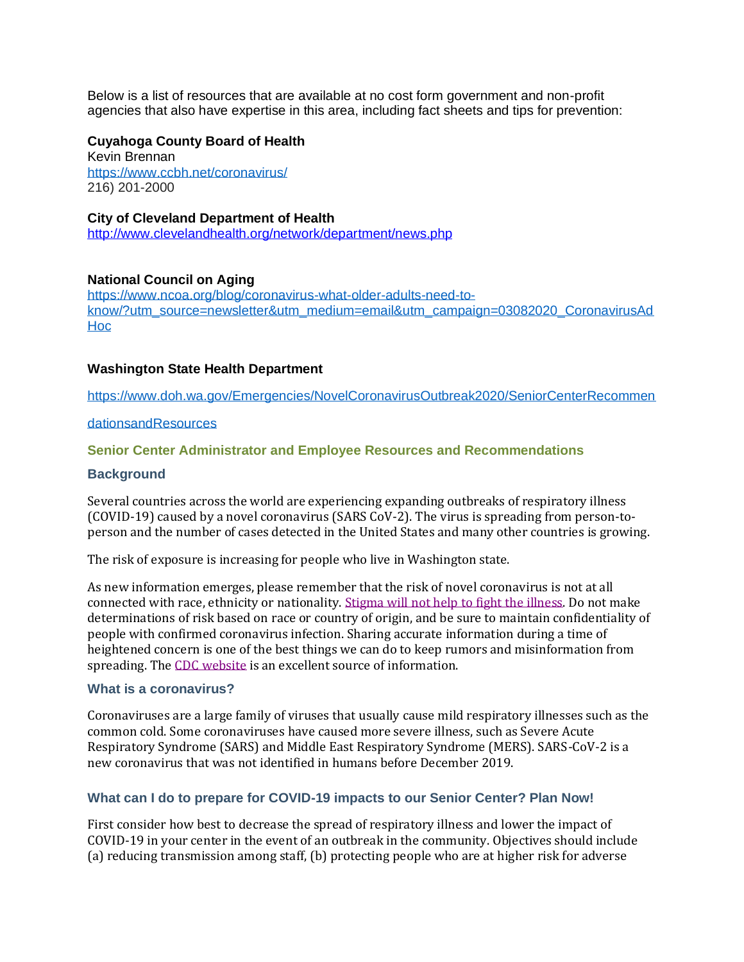Below is a list of resources that are available at no cost form government and non-profit agencies that also have expertise in this area, including fact sheets and tips for prevention:

### **Cuyahoga County Board of Health**

Kevin Brennan <https://www.ccbh.net/coronavirus/> 216) 201-2000

### **City of Cleveland Department of Health**

<http://www.clevelandhealth.org/network/department/news.php>

## **National Council on Aging**

[https://www.ncoa.org/blog/coronavirus-what-older-adults-need-to](https://www.ncoa.org/blog/coronavirus-what-older-adults-need-to-know/?utm_source=newsletter&utm_medium=email&utm_campaign=03082020_CoronavirusAdHoc)[know/?utm\\_source=newsletter&utm\\_medium=email&utm\\_campaign=03082020\\_CoronavirusAd](https://www.ncoa.org/blog/coronavirus-what-older-adults-need-to-know/?utm_source=newsletter&utm_medium=email&utm_campaign=03082020_CoronavirusAdHoc) [Hoc](https://www.ncoa.org/blog/coronavirus-what-older-adults-need-to-know/?utm_source=newsletter&utm_medium=email&utm_campaign=03082020_CoronavirusAdHoc)

## **Washington State Health Department**

[https://www.doh.wa.gov/Emergencies/NovelCoronavirusOutbreak2020/SeniorCenterRecommen](https://www.doh.wa.gov/Emergencies/NovelCoronavirusOutbreak2020/SeniorCenterRecommendationsandResources)

#### [dationsandResources](https://www.doh.wa.gov/Emergencies/NovelCoronavirusOutbreak2020/SeniorCenterRecommendationsandResources)

## **Senior Center Administrator and Employee Resources and Recommendations**

### **Background**

Several countries across the world are experiencing expanding outbreaks of respiratory illness (COVID-19) caused by a novel coronavirus (SARS CoV-2). The virus is spreading from person-toperson and the number of cases detected in the United States and many other countries is growing.

The risk of exposure is increasing for people who live in Washington state.

As new information emerges, please remember that the risk of novel coronavirus is not at all connected with race, ethnicity or nationality. [Stigma](https://medium.com/wadepthealth/it-takes-all-of-us-to-reduce-stigma-during-disease-outbreaks-310db60dce29) will not help to fight the illness. Do not make determinations of risk based on race or country of origin, and be sure to maintain confidentiality of people with confirmed coronavirus infection. Sharing accurate information during a time of heightened concern is one of the best things we can do to keep rumors and misinformation from spreading. The CDC [website](https://www.cdc.gov/coronavirus/2019-ncov/specific-groups/guidance-business-response.html) is an excellent source of information.

#### **What is a coronavirus?**

Coronaviruses are a large family of viruses that usually cause mild respiratory illnesses such as the common cold. Some coronaviruses have caused more severe illness, such as Severe Acute Respiratory Syndrome (SARS) and Middle East Respiratory Syndrome (MERS). SARS-CoV-2 is a new coronavirus that was not identified in humans before December 2019.

## **What can I do to prepare for COVID-19 impacts to our Senior Center? Plan Now!**

First consider how best to decrease the spread of respiratory illness and lower the impact of COVID-19 in your center in the event of an outbreak in the community. Objectives should include (a) reducing transmission among staff, (b) protecting people who are at higher risk for adverse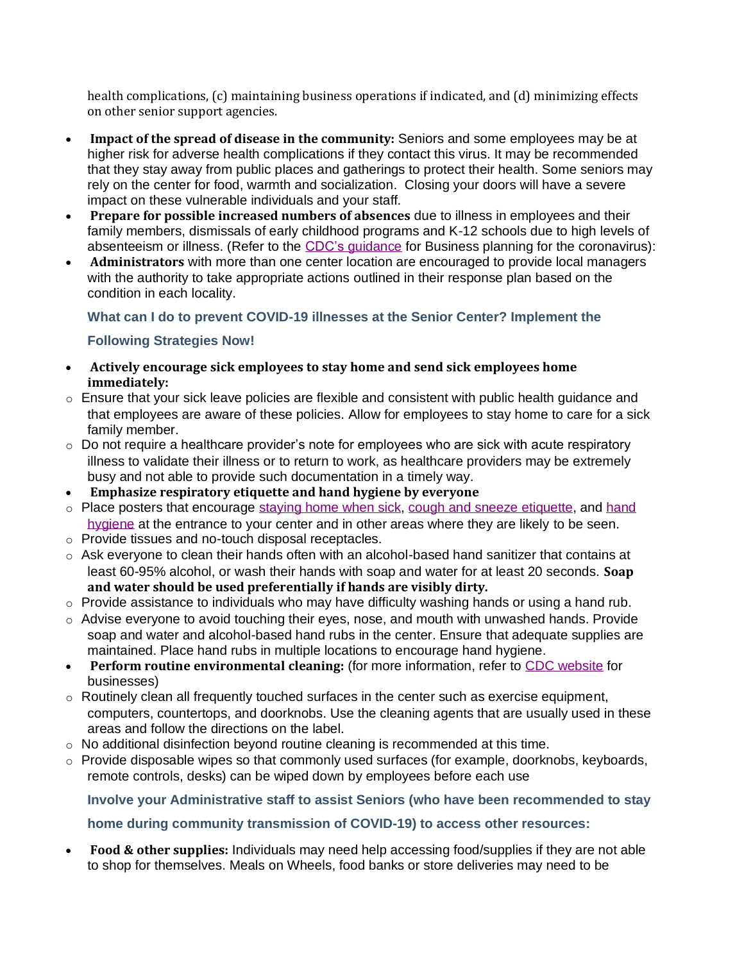health complications, (c) maintaining business operations if indicated, and (d) minimizing effects on other senior support agencies.

- **Impact of the spread of disease in the community:** Seniors and some employees may be at higher risk for adverse health complications if they contact this virus. It may be recommended that they stay away from public places and gatherings to protect their health. Some seniors may rely on the center for food, warmth and socialization. Closing your doors will have a severe impact on these vulnerable individuals and your staff.
- **Prepare for possible increased numbers of absences** due to illness in employees and their family members, dismissals of early childhood programs and K-12 schools due to high levels of absenteeism or illness. (Refer to the CDC's [guidance](https://www.cdc.gov/coronavirus/2019-ncov/specific-groups/guidance-business-response.html) for Business planning for the coronavirus):
- **Administrators** with more than one center location are encouraged to provide local managers with the authority to take appropriate actions outlined in their response plan based on the condition in each locality.

# **What can I do to prevent COVID-19 illnesses at the Senior Center? Implement the**

# **Following Strategies Now!**

- **Actively encourage sick employees to stay home and send sick employees home immediately:**
- $\circ$  Ensure that your sick leave policies are flexible and consistent with public health guidance and that employees are aware of these policies. Allow for employees to stay home to care for a sick family member.
- $\circ$  Do not require a healthcare provider's note for employees who are sick with acute respiratory illness to validate their illness or to return to work, as healthcare providers may be extremely busy and not able to provide such documentation in a timely way.
- **Emphasize respiratory etiquette and hand hygiene by everyone**
- o Place posters that encourage [staying](https://www.cdc.gov/nonpharmaceutical-interventions/tools-resources/educational-materials.html) home when sick, cough and sneeze [etiquette,](https://www.cdc.gov/healthywater/hygiene/etiquette/coughing_sneezing.html) and [hand](https://www.cdc.gov/handwashing/materials.html) [hygiene](https://www.cdc.gov/handwashing/materials.html) at the entrance to your center and in other areas where they are likely to be seen.
- o Provide tissues and no-touch disposal receptacles.
- $\circ$  Ask everyone to clean their hands often with an alcohol-based hand sanitizer that contains at least 60-95% alcohol, or wash their hands with soap and water for at least 20 seconds. **Soap and water should be used preferentially if hands are visibly dirty.**
- $\circ$  Provide assistance to individuals who may have difficulty washing hands or using a hand rub.
- $\circ$  Advise everyone to avoid touching their eyes, nose, and mouth with unwashed hands. Provide soap and water and alcohol-based hand rubs in the center. Ensure that adequate supplies are maintained. Place hand rubs in multiple locations to encourage hand hygiene.
- **Perform routine environmental cleaning:** (for more information, refer to CDC [website](https://www.cdc.gov/coronavirus/2019-ncov/specific-groups/guidance-business-response.html?CDC_AA_refVal=https%3A%2F%2Fwww.cdc.gov%2Fcoronavirus%2F2019-ncov%2Fguidance-business-response.html) for businesses)
- $\circ$  Routinely clean all frequently touched surfaces in the center such as exercise equipment, computers, countertops, and doorknobs. Use the cleaning agents that are usually used in these areas and follow the directions on the label.
- $\circ$  No additional disinfection beyond routine cleaning is recommended at this time.
- $\circ$  Provide disposable wipes so that commonly used surfaces (for example, doorknobs, keyboards, remote controls, desks) can be wiped down by employees before each use

**Involve your Administrative staff to assist Seniors (who have been recommended to stay** 

## **home during community transmission of COVID-19) to access other resources:**

• **Food & other supplies:** Individuals may need help accessing food/supplies if they are not able to shop for themselves. Meals on Wheels, food banks or store deliveries may need to be